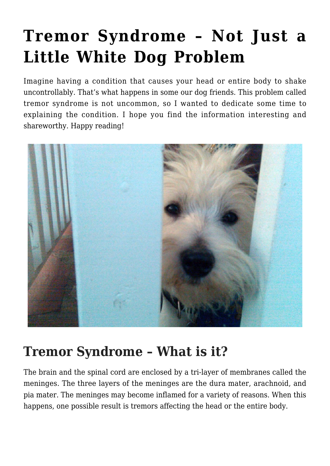# **[Tremor Syndrome – Not Just a](https://criticalcaredvm.com/tremor-syndrome-dogs/) [Little White Dog Problem](https://criticalcaredvm.com/tremor-syndrome-dogs/)**

Imagine having a condition that causes your head or entire body to shake uncontrollably. That's what happens in some our dog friends. This problem called tremor syndrome is not uncommon, so I wanted to dedicate some time to explaining the condition. I hope you find the information interesting and shareworthy. Happy reading!



## **Tremor Syndrome – What is it?**

The brain and the spinal cord are enclosed by a tri-layer of membranes called the meninges. The three layers of the meninges are the dura mater, arachnoid, and pia mater. The meninges may become inflamed for a variety of reasons. When this happens, one possible result is tremors affecting the head or the entire body.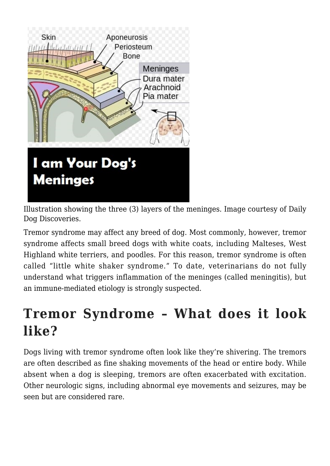

Illustration showing the three (3) layers of the meninges. Image courtesy of Daily Dog Discoveries.

Tremor syndrome may affect any breed of dog. Most commonly, however, tremor syndrome affects small breed dogs with white coats, including Malteses, West Highland white terriers, and poodles. For this reason, tremor syndrome is often called "little white shaker syndrome." To date, veterinarians do not fully understand what triggers inflammation of the meninges (called meningitis), but an immune-mediated etiology is strongly suspected.

#### **Tremor Syndrome – What does it look like?**

Dogs living with tremor syndrome often look like they're shivering. The tremors are often described as fine shaking movements of the head or entire body. While absent when a dog is sleeping, tremors are often exacerbated with excitation. Other neurologic signs, including abnormal eye movements and [seizures,](https://criticalcaredvm.com/seizures-dogs-cats/) may be seen but are considered rare.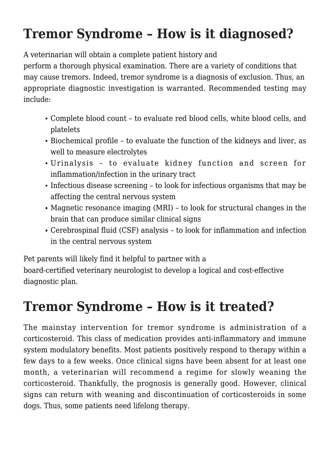## **Tremor Syndrome – How is it diagnosed?**

A veterinarian will obtain a complete patient history and

perform a thorough physical examination. There are a variety of conditions that may cause tremors. Indeed, tremor syndrome is a diagnosis of exclusion. Thus, an appropriate diagnostic investigation is warranted. Recommended testing may include:

- Complete blood count to evaluate red blood cells, white blood cells, and platelets
- Biochemical profile to evaluate the function of the kidneys and liver, as well to measure electrolytes
- Urinalysis to evaluate kidney function and screen for inflammation/infection in the urinary tract
- Infectious disease screening to look for infectious organisms that may be affecting the central nervous system
- Magnetic resonance imaging (MRI) to look for structural changes in the brain that can produce similar clinical signs
- Cerebrospinal fluid (CSF) analysis to look for inflammation and infection in the central nervous system

Pet parents will likely find it helpful to partner with a

board-certified veterinary neurologist to develop a logical and cost-effective diagnostic plan.

## **Tremor Syndrome – How is it treated?**

The mainstay intervention for tremor syndrome is administration of a corticosteroid. This class of medication provides anti-inflammatory and immune system modulatory benefits. Most patients positively respond to therapy within a few days to a few weeks. Once clinical signs have been absent for at least one month, a veterinarian will recommend a regime for slowly weaning the corticosteroid. Thankfully, the prognosis is generally good. However, clinical signs can return with weaning and discontinuation of corticosteroids in some dogs. Thus, some patients need lifelong therapy.